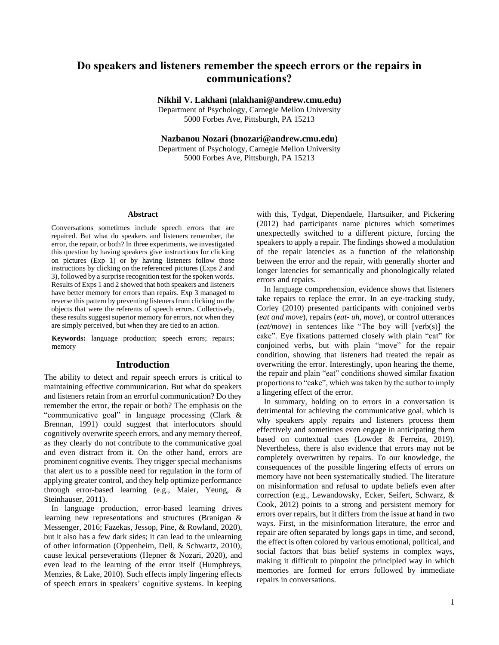# **Do speakers and listeners remember the speech errors or the repairs in communications?**

**Nikhil V. Lakhani (nlakhani@andrew.cmu.edu)**

Department of Psychology, Carnegie Mellon University 5000 Forbes Ave, Pittsburgh, PA 15213

**Nazbanou Nozari (bnozari@andrew.cmu.edu)**

Department of Psychology, Carnegie Mellon University 5000 Forbes Ave, Pittsburgh, PA 15213

#### **Abstract**

Conversations sometimes include speech errors that are repaired. But what do speakers and listeners remember, the error, the repair, or both? In three experiments, we investigated this question by having speakers give instructions for clicking on pictures (Exp 1) or by having listeners follow those instructions by clicking on the referenced pictures (Exps 2 and 3), followed by a surprise recognition test for the spoken words. Results of Exps 1 and 2 showed that both speakers and listeners have better memory for errors than repairs. Exp 3 managed to reverse this pattern by preventing listeners from clicking on the objects that were the referents of speech errors. Collectively, these results suggest superior memory for errors, not when they are simply perceived, but when they are tied to an action.

**Keywords:** language production; speech errors; repairs; memory

# **Introduction**

The ability to detect and repair speech errors is critical to maintaining effective communication. But what do speakers and listeners retain from an errorful communication? Do they remember the error, the repair or both? The emphasis on the "communicative goal" in language processing (Clark & Brennan, 1991) could suggest that interlocutors should cognitively overwrite speech errors, and any memory thereof, as they clearly do not contribute to the communicative goal and even distract from it. On the other hand, errors are prominent cognitive events. They trigger special mechanisms that alert us to a possible need for regulation in the form of applying greater control, and they help optimize performance through error-based learning (e.g., Maier, Yeung, & Steinhauser, 2011).

In language production, error-based learning drives learning new representations and structures (Branigan & Messenger, 2016; Fazekas, Jessop, Pine, & Rowland, 2020), but it also has a few dark sides; it can lead to the unlearning of other information (Oppenheim, Dell, & Schwartz, 2010), cause lexical perseverations (Hepner & Nozari, 2020), and even lead to the learning of the error itself (Humphreys, Menzies, & Lake, 2010). Such effects imply lingering effects of speech errors in speakers' cognitive systems. In keeping

with this, Tydgat, Diependaele, Hartsuiker, and Pickering (2012) had participants name pictures which sometimes unexpectedly switched to a different picture, forcing the speakers to apply a repair. The findings showed a modulation of the repair latencies as a function of the relationship between the error and the repair, with generally shorter and longer latencies for semantically and phonologically related errors and repairs.

In language comprehension, evidence shows that listeners take repairs to replace the error. In an eye-tracking study, Corley (2010) presented participants with conjoined verbs (*eat and move*), repairs (*eat- uh, move*), or control utterances (*eat/move*) in sentences like "The boy will [verb(s)] the cake". Eye fixations patterned closely with plain "eat" for conjoined verbs, but with plain "move" for the repair condition, showing that listeners had treated the repair as overwriting the error. Interestingly, upon hearing the theme, the repair and plain "eat" conditions showed similar fixation proportions to "cake", which was taken by the author to imply a lingering effect of the error.

In summary, holding on to errors in a conversation is detrimental for achieving the communicative goal, which is why speakers apply repairs and listeners process them effectively and sometimes even engage in anticipating them based on contextual cues (Lowder & Ferreira, 2019). Nevertheless, there is also evidence that errors may not be completely overwritten by repairs. To our knowledge, the consequences of the possible lingering effects of errors on memory have not been systematically studied. The literature on misinformation and refusal to update beliefs even after correction (e.g., Lewandowsky, Ecker, Seifert, Schwarz, & Cook, 2012) points to a strong and persistent memory for errors over repairs, but it differs from the issue at hand in two ways. First, in the misinformation literature, the error and repair are often separated by longs gaps in time, and second, the effect is often colored by various emotional, political, and social factors that bias belief systems in complex ways, making it difficult to pinpoint the principled way in which memories are formed for errors followed by immediate repairs in conversations.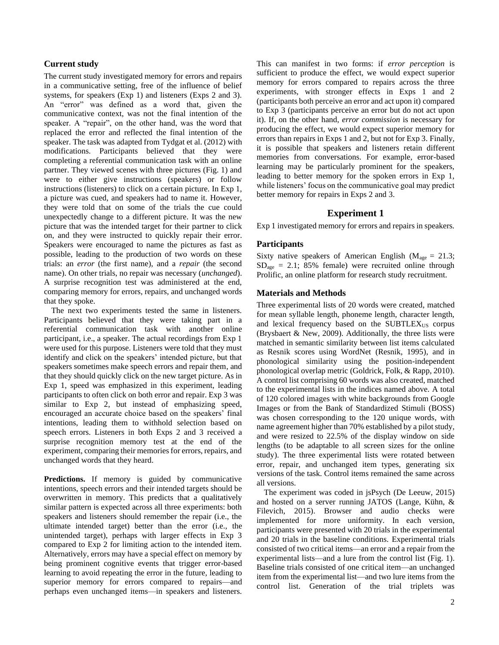# **Current study**

The current study investigated memory for errors and repairs in a communicative setting, free of the influence of belief systems, for speakers (Exp 1) and listeners (Exps 2 and 3). An "error" was defined as a word that, given the communicative context, was not the final intention of the speaker. A "repair", on the other hand, was the word that replaced the error and reflected the final intention of the speaker. The task was adapted from Tydgat et al. (2012) with modifications. Participants believed that they were completing a referential communication task with an online partner. They viewed scenes with three pictures (Fig. 1) and were to either give instructions (speakers) or follow instructions (listeners) to click on a certain picture. In Exp 1, a picture was cued, and speakers had to name it. However, they were told that on some of the trials the cue could unexpectedly change to a different picture. It was the new picture that was the intended target for their partner to click on, and they were instructed to quickly repair their error. Speakers were encouraged to name the pictures as fast as possible, leading to the production of two words on these trials: an *error* (the first name), and a *repair* (the second name). On other trials, no repair was necessary (*unchanged*). A surprise recognition test was administered at the end, comparing memory for errors, repairs, and unchanged words that they spoke.

The next two experiments tested the same in listeners. Participants believed that they were taking part in a referential communication task with another online participant, i.e., a speaker. The actual recordings from Exp 1 were used for this purpose. Listeners were told that they must identify and click on the speakers' intended picture, but that speakers sometimes make speech errors and repair them, and that they should quickly click on the new target picture. As in Exp 1, speed was emphasized in this experiment, leading participants to often click on both error and repair. Exp 3 was similar to Exp 2, but instead of emphasizing speed, encouraged an accurate choice based on the speakers' final intentions, leading them to withhold selection based on speech errors. Listeners in both Exps 2 and 3 received a surprise recognition memory test at the end of the experiment, comparing their memories for errors, repairs, and unchanged words that they heard.

**Predictions.** If memory is guided by communicative intentions, speech errors and their intended targets should be overwritten in memory. This predicts that a qualitatively similar pattern is expected across all three experiments: both speakers and listeners should remember the repair (i.e., the ultimate intended target) better than the error (i.e., the unintended target), perhaps with larger effects in Exp 3 compared to Exp 2 for limiting action to the intended item. Alternatively, errors may have a special effect on memory by being prominent cognitive events that trigger error-based learning to avoid repeating the error in the future, leading to superior memory for errors compared to repairs—and perhaps even unchanged items—in speakers and listeners.

This can manifest in two forms: if *error perception* is sufficient to produce the effect, we would expect superior memory for errors compared to repairs across the three experiments, with stronger effects in Exps 1 and 2 (participants both perceive an error and act upon it) compared to Exp 3 (participants perceive an error but do not act upon it). If, on the other hand, *error commission* is necessary for producing the effect, we would expect superior memory for errors than repairs in Exps 1 and 2, but not for Exp 3. Finally, it is possible that speakers and listeners retain different memories from conversations. For example, error-based learning may be particularly prominent for the speakers, leading to better memory for the spoken errors in Exp 1, while listeners' focus on the communicative goal may predict better memory for repairs in Exps 2 and 3.

# **Experiment 1**

Exp 1 investigated memory for errors and repairs in speakers.

## **Participants**

Sixty native speakers of American English ( $M_{\text{age}} = 21.3$ ;  $SD<sub>age</sub> = 2.1$ ; 85% female) were recruited online through Prolific, an online platform for research study recruitment.

#### **Materials and Methods**

Three experimental lists of 20 words were created, matched for mean syllable length, phoneme length, character length, and lexical frequency based on the  $SUBTLEX<sub>US</sub>$  corpus (Brysbaert & New, 2009). Additionally, the three lists were matched in semantic similarity between list items calculated as Resnik scores using WordNet (Resnik, 1995), and in phonological similarity using the position-independent phonological overlap metric (Goldrick, Folk, & Rapp, 2010). A control list comprising 60 words was also created, matched to the experimental lists in the indices named above. A total of 120 colored images with white backgrounds from Google Images or from the Bank of Standardized Stimuli (BOSS) was chosen corresponding to the 120 unique words, with name agreement higher than 70% established by a pilot study, and were resized to 22.5% of the display window on side lengths (to be adaptable to all screen sizes for the online study). The three experimental lists were rotated between error, repair, and unchanged item types, generating six versions of the task. Control items remained the same across all versions.

The experiment was coded in jsPsych (De Leeuw, 2015) and hosted on a server running JATOS (Lange, Kühn, & Filevich, 2015). Browser and audio checks were implemented for more uniformity. In each version, participants were presented with 20 trials in the experimental and 20 trials in the baseline conditions. Experimental trials consisted of two critical items—an error and a repair from the experimental lists—and a lure from the control list (Fig. 1). Baseline trials consisted of one critical item—an unchanged item from the experimental list—and two lure items from the control list. Generation of the trial triplets was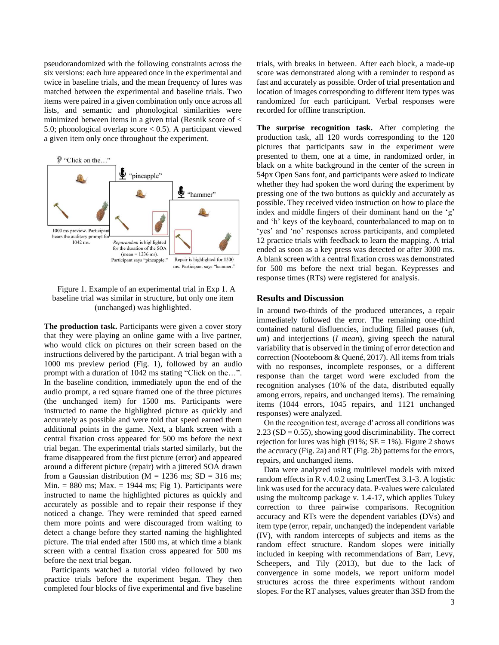pseudorandomized with the following constraints across the six versions: each lure appeared once in the experimental and twice in baseline trials, and the mean frequency of lures was matched between the experimental and baseline trials. Two items were paired in a given combination only once across all lists, and semantic and phonological similarities were minimized between items in a given trial (Resnik score of < 5.0; phonological overlap score < 0.5). A participant viewed a given item only once throughout the experiment.





**The production task.** Participants were given a cover story that they were playing an online game with a live partner, who would click on pictures on their screen based on the instructions delivered by the participant. A trial began with a 1000 ms preview period (Fig. 1), followed by an audio prompt with a duration of 1042 ms stating "Click on the…". In the baseline condition, immediately upon the end of the audio prompt, a red square framed one of the three pictures (the unchanged item) for 1500 ms. Participants were instructed to name the highlighted picture as quickly and accurately as possible and were told that speed earned them additional points in the game. Next, a blank screen with a central fixation cross appeared for 500 ms before the next trial began. The experimental trials started similarly, but the frame disappeared from the first picture (error) and appeared around a different picture (repair) with a jittered SOA drawn from a Gaussian distribution ( $M = 1236$  ms;  $SD = 316$  ms; Min.  $= 880$  ms; Max.  $= 1944$  ms; Fig 1). Participants were instructed to name the highlighted pictures as quickly and accurately as possible and to repair their response if they noticed a change. They were reminded that speed earned them more points and were discouraged from waiting to detect a change before they started naming the highlighted picture. The trial ended after 1500 ms, at which time a blank screen with a central fixation cross appeared for 500 ms before the next trial began.

Participants watched a tutorial video followed by two practice trials before the experiment began. They then completed four blocks of five experimental and five baseline trials, with breaks in between. After each block, a made-up score was demonstrated along with a reminder to respond as fast and accurately as possible. Order of trial presentation and location of images corresponding to different item types was randomized for each participant. Verbal responses were recorded for offline transcription.

**The surprise recognition task.** After completing the production task, all 120 words corresponding to the 120 pictures that participants saw in the experiment were presented to them, one at a time, in randomized order, in black on a white background in the center of the screen in 54px Open Sans font, and participants were asked to indicate whether they had spoken the word during the experiment by pressing one of the two buttons as quickly and accurately as possible. They received video instruction on how to place the index and middle fingers of their dominant hand on the 'g' and 'h' keys of the keyboard, counterbalanced to map on to 'yes' and 'no' responses across participants, and completed 12 practice trials with feedback to learn the mapping. A trial ended as soon as a key press was detected or after 3000 ms. A blank screen with a central fixation cross was demonstrated for 500 ms before the next trial began. Keypresses and response times (RTs) were registered for analysis.

#### **Results and Discussion**

In around two-thirds of the produced utterances, a repair immediately followed the error. The remaining one-third contained natural disfluencies, including filled pauses (*uh, um*) and interjections (*I mean*), giving speech the natural variability that is observed in the timing of error detection and correction (Nooteboom & Quené, 2017). All items from trials with no responses, incomplete responses, or a different response than the target word were excluded from the recognition analyses (10% of the data, distributed equally among errors, repairs, and unchanged items). The remaining items (1044 errors, 1045 repairs, and 1121 unchanged responses) were analyzed.

On the recognition test, average dʹ across all conditions was  $2.23$  (SD = 0.55), showing good discriminability. The correct rejection for lures was high (91%;  $SE = 1\%$ ). Figure 2 shows the accuracy (Fig. 2a) and RT (Fig. 2b) patterns for the errors, repairs, and unchanged items.

Data were analyzed using multilevel models with mixed random effects in R v.4.0.2 using LmertTest 3.1-3. A logistic link was used for the accuracy data. P-values were calculated using the multcomp package v. 1.4-17, which applies Tukey correction to three pairwise comparisons. Recognition accuracy and RTs were the dependent variables (DVs) and item type (error, repair, unchanged) the independent variable (IV), with random intercepts of subjects and items as the random effect structure. Random slopes were initially included in keeping with recommendations of Barr, Levy, Scheepers, and Tily (2013), but due to the lack of convergence in some models, we report uniform model structures across the three experiments without random slopes. For the RT analyses, values greater than 3SD from the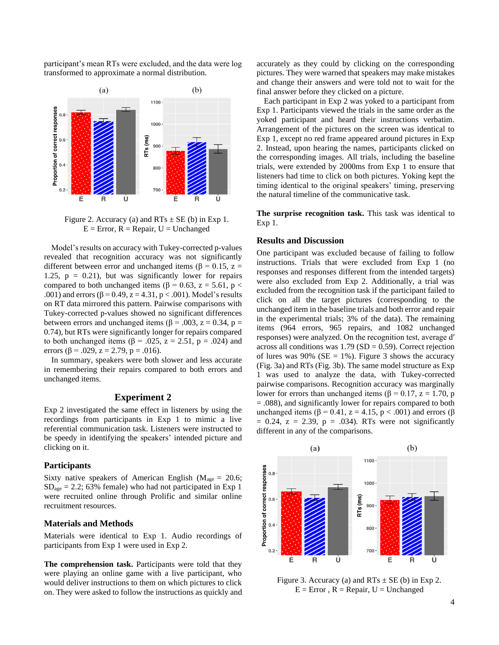participant's mean RTs were excluded, and the data were log transformed to approximate a normal distribution.



Figure 2. Accuracy (a) and  $RTs \pm SE$  (b) in Exp 1.  $E = Error, R = Repair, U = Unchanged$ 

Model's results on accuracy with Tukey-corrected p-values revealed that recognition accuracy was not significantly different between error and unchanged items ( $\beta = 0.15$ ,  $z =$ 1.25,  $p = 0.21$ , but was significantly lower for repairs compared to both unchanged items ( $β = 0.63$ ,  $z = 5.61$ ,  $p <$ .001) and errors ( $\beta$  = 0.49, z = 4.31, p < .001). Model's results on RT data mirrored this pattern. Pairwise comparisons with Tukey-corrected p-values showed no significant differences between errors and unchanged items ( $\beta$  = .003, z = 0.34, p = 0.74), but RTs were significantly longer for repairs compared to both unchanged items ( $\beta$  = .025, z = 2.51, p = .024) and errors ( $\beta$  = .029, z = 2.79, p = .016).

In summary, speakers were both slower and less accurate in remembering their repairs compared to both errors and unchanged items.

#### **Experiment 2**

Exp 2 investigated the same effect in listeners by using the recordings from participants in Exp 1 to mimic a live referential communication task. Listeners were instructed to be speedy in identifying the speakers' intended picture and clicking on it.

#### **Participants**

Sixty native speakers of American English ( $M_{\text{age}} = 20.6$ ;  $SD<sub>age</sub> = 2.2$ ; 63% female) who had not participated in Exp 1 were recruited online through Prolific and similar online recruitment resources.

#### **Materials and Methods**

Materials were identical to Exp 1. Audio recordings of participants from Exp 1 were used in Exp 2.

**The comprehension task.** Participants were told that they were playing an online game with a live participant, who would deliver instructions to them on which pictures to click on. They were asked to follow the instructions as quickly and accurately as they could by clicking on the corresponding pictures. They were warned that speakers may make mistakes and change their answers and were told not to wait for the final answer before they clicked on a picture.

Each participant in Exp 2 was yoked to a participant from Exp 1. Participants viewed the trials in the same order as the yoked participant and heard their instructions verbatim. Arrangement of the pictures on the screen was identical to Exp 1, except no red frame appeared around pictures in Exp 2. Instead, upon hearing the names, participants clicked on the corresponding images. All trials, including the baseline trials, were extended by 2000ms from Exp 1 to ensure that listeners had time to click on both pictures. Yoking kept the timing identical to the original speakers' timing, preserving the natural timeline of the communicative task.

**The surprise recognition task.** This task was identical to Exp 1.

#### **Results and Discussion**

One participant was excluded because of failing to follow instructions. Trials that were excluded from Exp 1 (no responses and responses different from the intended targets) were also excluded from Exp 2. Additionally, a trial was excluded from the recognition task if the participant failed to click on all the target pictures (corresponding to the unchanged item in the baseline trials and both error and repair in the experimental trials; 3% of the data). The remaining items (964 errors, 965 repairs, and 1082 unchanged responses) were analyzed. On the recognition test, average dʹ across all conditions was  $1.79$  (SD = 0.59). Correct rejection of lures was 90% ( $SE = 1\%$ ). Figure 3 shows the accuracy (Fig. 3a) and RTs (Fig. 3b). The same model structure as Exp 1 was used to analyze the data, with Tukey-corrected pairwise comparisons. Recognition accuracy was marginally lower for errors than unchanged items (β = 0.17, z = 1.70, p = .088), and significantly lower for repairs compared to both unchanged items (β = 0.41, z = 4.15, p < .001) and errors (β  $= 0.24$ ,  $z = 2.39$ ,  $p = .034$ ). RTs were not significantly different in any of the comparisons.



Figure 3. Accuracy (a) and  $RTs \pm SE$  (b) in Exp 2.  $E = Error, R = Repair, U = Unchanged$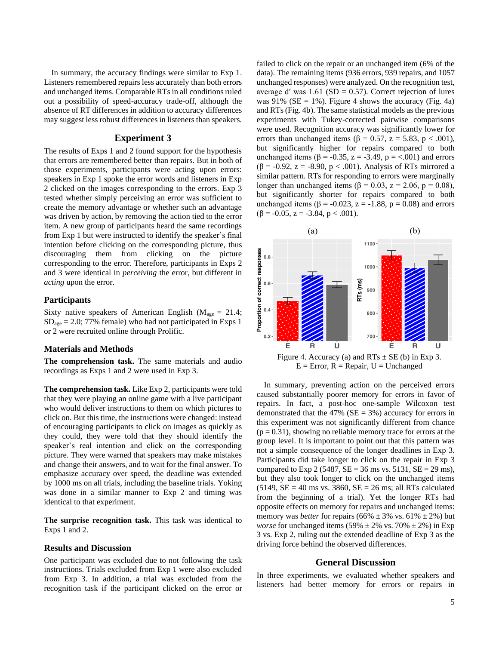In summary, the accuracy findings were similar to Exp 1. Listeners remembered repairs less accurately than both errors and unchanged items. Comparable RTs in all conditions ruled out a possibility of speed-accuracy trade-off, although the absence of RT differences in addition to accuracy differences may suggest less robust differences in listeners than speakers.

### **Experiment 3**

The results of Exps 1 and 2 found support for the hypothesis that errors are remembered better than repairs. But in both of those experiments, participants were acting upon errors: speakers in Exp 1 spoke the error words and listeners in Exp 2 clicked on the images corresponding to the errors. Exp 3 tested whether simply perceiving an error was sufficient to create the memory advantage or whether such an advantage was driven by action, by removing the action tied to the error item. A new group of participants heard the same recordings from Exp 1 but were instructed to identify the speaker's final intention before clicking on the corresponding picture, thus discouraging them from clicking on the picture corresponding to the error. Therefore, participants in Exps 2 and 3 were identical in *perceiving* the error, but different in *acting* upon the error.

#### **Participants**

Sixty native speakers of American English ( $M_{\text{age}} = 21.4$ ;  $SD<sub>age</sub> = 2.0$ ; 77% female) who had not participated in Exps 1 or 2 were recruited online through Prolific.

## **Materials and Methods**

**The comprehension task.** The same materials and audio recordings as Exps 1 and 2 were used in Exp 3.

**The comprehension task.** Like Exp 2, participants were told that they were playing an online game with a live participant who would deliver instructions to them on which pictures to click on. But this time, the instructions were changed: instead of encouraging participants to click on images as quickly as they could, they were told that they should identify the speaker's real intention and click on the corresponding picture. They were warned that speakers may make mistakes and change their answers, and to wait for the final answer. To emphasize accuracy over speed, the deadline was extended by 1000 ms on all trials, including the baseline trials. Yoking was done in a similar manner to Exp 2 and timing was identical to that experiment.

**The surprise recognition task.** This task was identical to Exps 1 and 2.

#### **Results and Discussion**

One participant was excluded due to not following the task instructions. Trials excluded from Exp 1 were also excluded from Exp 3. In addition, a trial was excluded from the recognition task if the participant clicked on the error or failed to click on the repair or an unchanged item (6% of the data). The remaining items (936 errors, 939 repairs, and 1057 unchanged responses) were analyzed. On the recognition test, average d' was  $1.61$  (SD = 0.57). Correct rejection of lures was  $91\%$  (SE = 1%). Figure 4 shows the accuracy (Fig. 4a) and RTs (Fig. 4b). The same statistical models as the previous experiments with Tukey-corrected pairwise comparisons were used. Recognition accuracy was significantly lower for errors than unchanged items ( $\beta = 0.57$ ,  $z = 5.83$ ,  $p < .001$ ), but significantly higher for repairs compared to both unchanged items (β = -0.35, z = -3.49, p = <.001) and errors ( $\beta$  = -0.92, z = -8.90, p < .001). Analysis of RTs mirrored a similar pattern. RTs for responding to errors were marginally longer than unchanged items ( $\beta = 0.03$ ,  $z = 2.06$ ,  $p = 0.08$ ), but significantly shorter for repairs compared to both unchanged items (β = -0.023, z = -1.88, p = 0.08) and errors  $(\beta = -0.05, z = -3.84, p < .001).$ 



Figure 4. Accuracy (a) and  $RTs \pm SE$  (b) in Exp 3.  $E = Error, R = Repair, U = Unchanged$ 

In summary, preventing action on the perceived errors caused substantially poorer memory for errors in favor of repairs. In fact, a post-hoc one-sample Wilcoxon test demonstrated that the 47% ( $SE = 3\%$ ) accuracy for errors in this experiment was not significantly different from chance  $(p = 0.31)$ , showing no reliable memory trace for errors at the group level. It is important to point out that this pattern was not a simple consequence of the longer deadlines in Exp 3. Participants did take longer to click on the repair in Exp 3 compared to Exp 2 (5487,  $SE = 36$  ms vs. 5131,  $SE = 29$  ms), but they also took longer to click on the unchanged items  $(5149, SE = 40$  ms vs. 3860,  $SE = 26$  ms; all RTs calculated from the beginning of a trial). Yet the longer RTs had opposite effects on memory for repairs and unchanged items: memory was *better* for repairs (66%  $\pm$  3% vs. 61%  $\pm$  2%) but *worse* for unchanged items  $(59\% \pm 2\% \text{ vs. } 70\% \pm 2\%)$  in Exp 3 vs. Exp 2, ruling out the extended deadline of Exp 3 as the driving force behind the observed differences.

#### **General Discussion**

In three experiments, we evaluated whether speakers and listeners had better memory for errors or repairs in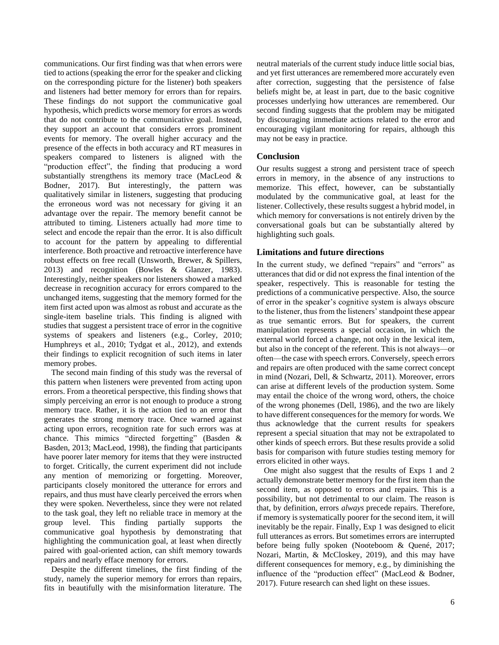communications. Our first finding was that when errors were tied to actions (speaking the error for the speaker and clicking on the corresponding picture for the listener) both speakers and listeners had better memory for errors than for repairs. These findings do not support the communicative goal hypothesis, which predicts worse memory for errors as words that do not contribute to the communicative goal. Instead, they support an account that considers errors prominent events for memory. The overall higher accuracy and the presence of the effects in both accuracy and RT measures in speakers compared to listeners is aligned with the "production effect", the finding that producing a word substantially strengthens its memory trace (MacLeod & Bodner, 2017). But interestingly, the pattern was qualitatively similar in listeners, suggesting that producing the erroneous word was not necessary for giving it an advantage over the repair. The memory benefit cannot be attributed to timing. Listeners actually had *more* time to select and encode the repair than the error. It is also difficult to account for the pattern by appealing to differential interference. Both proactive and retroactive interference have robust effects on free recall (Unsworth, Brewer, & Spillers, 2013) and recognition (Bowles & Glanzer, 1983). Interestingly, neither speakers nor listeners showed a marked decrease in recognition accuracy for errors compared to the unchanged items, suggesting that the memory formed for the item first acted upon was almost as robust and accurate as the single-item baseline trials. This finding is aligned with studies that suggest a persistent trace of error in the cognitive systems of speakers and listeners (e.g., Corley, 2010; Humphreys et al., 2010; Tydgat et al., 2012), and extends their findings to explicit recognition of such items in later memory probes.

The second main finding of this study was the reversal of this pattern when listeners were prevented from acting upon errors. From a theoretical perspective, this finding shows that simply perceiving an error is not enough to produce a strong memory trace. Rather, it is the action tied to an error that generates the strong memory trace. Once warned against acting upon errors, recognition rate for such errors was at chance. This mimics "directed forgetting" (Basden & Basden, 2013; MacLeod, 1998), the finding that participants have poorer later memory for items that they were instructed to forget. Critically, the current experiment did not include any mention of memorizing or forgetting. Moreover, participants closely monitored the utterance for errors and repairs, and thus must have clearly perceived the errors when they were spoken. Nevertheless, since they were not related to the task goal, they left no reliable trace in memory at the group level. This finding partially supports the communicative goal hypothesis by demonstrating that highlighting the communication goal, at least when directly paired with goal-oriented action, can shift memory towards repairs and nearly efface memory for errors.

Despite the different timelines, the first finding of the study, namely the superior memory for errors than repairs, fits in beautifully with the misinformation literature. The neutral materials of the current study induce little social bias, and yet first utterances are remembered more accurately even after correction, suggesting that the persistence of false beliefs might be, at least in part, due to the basic cognitive processes underlying how utterances are remembered. Our second finding suggests that the problem may be mitigated by discouraging immediate actions related to the error and encouraging vigilant monitoring for repairs, although this may not be easy in practice.

## **Conclusion**

Our results suggest a strong and persistent trace of speech errors in memory, in the absence of any instructions to memorize. This effect, however, can be substantially modulated by the communicative goal, at least for the listener. Collectively, these results suggest a hybrid model, in which memory for conversations is not entirely driven by the conversational goals but can be substantially altered by highlighting such goals.

## **Limitations and future directions**

In the current study, we defined "repairs" and "errors" as utterances that did or did not express the final intention of the speaker, respectively. This is reasonable for testing the predictions of a communicative perspective. Also, the source of error in the speaker's cognitive system is always obscure to the listener, thus from the listeners' standpoint these appear as true semantic errors. But for speakers, the current manipulation represents a special occasion, in which the external world forced a change, not only in the lexical item, but also in the concept of the referent. This is not always—or often—the case with speech errors. Conversely, speech errors and repairs are often produced with the same correct concept in mind (Nozari, Dell, & Schwartz, 2011). Moreover, errors can arise at different levels of the production system. Some may entail the choice of the wrong word, others, the choice of the wrong phonemes (Dell, 1986), and the two are likely to have different consequences for the memory for words. We thus acknowledge that the current results for speakers represent a special situation that may not be extrapolated to other kinds of speech errors. But these results provide a solid basis for comparison with future studies testing memory for errors elicited in other ways.

One might also suggest that the results of Exps 1 and 2 actually demonstrate better memory for the first item than the second item, as opposed to errors and repairs. This is a possibility, but not detrimental to our claim. The reason is that, by definition, errors *always* precede repairs. Therefore, if memory is systematically poorer for the second item, it will inevitably be the repair. Finally, Exp 1 was designed to elicit full utterances as errors. But sometimes errors are interrupted before being fully spoken (Nooteboom & Quené, 2017; Nozari, Martin, & McCloskey, 2019), and this may have different consequences for memory, e.g., by diminishing the influence of the "production effect" (MacLeod & Bodner, 2017). Future research can shed light on these issues.